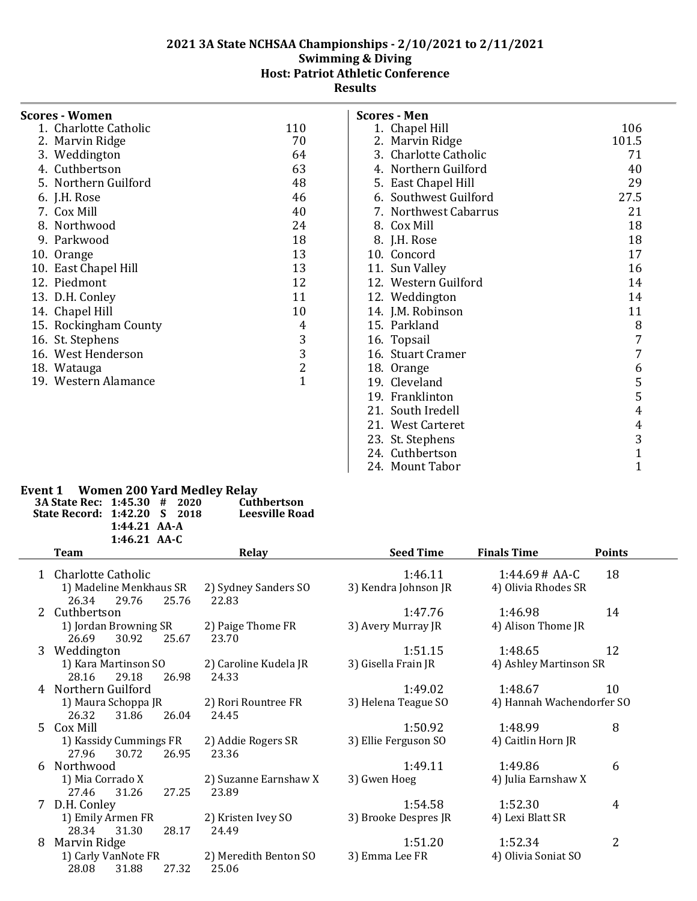| Scores - Women        |                |
|-----------------------|----------------|
| 1. Charlotte Catholic | 110            |
| 2. Marvin Ridge       | 70             |
| 3. Weddington         | 64             |
| 4. Cuthbertson        | 63             |
| 5. Northern Guilford  | 48             |
| 6. J.H. Rose          | 46             |
| 7. Cox Mill           | 40             |
| 8. Northwood          | 24             |
| 9. Parkwood           | 18             |
| 10. Orange            | 13             |
| 10. East Chapel Hill  | 13             |
| 12. Piedmont          | 12             |
| 13. D.H. Conley       | 11             |
| 14. Chapel Hill       | 10             |
| 15. Rockingham County | 4              |
| 16. St. Stephens      | 3              |
| 16. West Henderson    | 3              |
| 18. Watauga           | $\overline{2}$ |
| 19. Western Alamance  | $\overline{1}$ |
|                       |                |

| Scores - Men          |                |
|-----------------------|----------------|
| 1. Chapel Hill        | 106            |
| 2. Marvin Ridge       | 101.5          |
| 3. Charlotte Catholic | 71             |
| 4. Northern Guilford  | 40             |
| 5. East Chapel Hill   | 29             |
| 6. Southwest Guilford | 27.5           |
| 7. Northwest Cabarrus | 21             |
| 8. Cox Mill           | 18             |
| 8. J.H. Rose          | 18             |
| 10. Concord           | 17             |
| 11. Sun Valley        | 16             |
| 12. Western Guilford  | 14             |
| 12. Weddington        | 14             |
| 14. J.M. Robinson     | 11             |
| 15. Parkland          | 8              |
| 16. Topsail           | 7              |
| 16. Stuart Cramer     | 7              |
| 18. Orange            | 6              |
| 19. Cleveland         | 5              |
| 19. Franklinton       | 5              |
| 21. South Iredell     | 4              |
| 21. West Carteret     | 4              |
| 23. St. Stephens      | 3              |
| 24. Cuthbertson       | $\overline{1}$ |
| 24. Mount Tabor       | 1              |

# **Event 1 Women 200 Yard Medley Relay**

| LVENCE WOMEN ZOO TATU MEDICY REIGY |                |  |                |
|------------------------------------|----------------|--|----------------|
| 3A State Rec: 1:45.30 # 2020       |                |  | Cuthbertson    |
| State Record: 1:42.20 S 2018       |                |  | Leesville Road |
|                                    | $1:44.21$ AA-A |  |                |
|                                    | 1:46.21 $AA-C$ |  |                |
| --                                 |                |  |                |

|    | Team                                             | <b>Relay</b>               | <b>Seed Time</b>     | <b>Finals Time</b>        | <b>Points</b> |
|----|--------------------------------------------------|----------------------------|----------------------|---------------------------|---------------|
|    | 1 Charlotte Catholic                             |                            | 1:46.11              | $1:44.69#AA-C$            | 18            |
|    | 1) Madeline Menkhaus SR                          | 2) Sydney Sanders SO       | 3) Kendra Johnson JR | 4) Olivia Rhodes SR       |               |
|    | 29.76<br>25.76<br>26.34                          | 22.83                      |                      |                           |               |
| 2  | Cuthbertson                                      |                            | 1:47.76              | 1:46.98                   | 14            |
|    | 1) Jordan Browning SR<br>30.92<br>26.69<br>25.67 | 2) Paige Thome FR<br>23.70 | 3) Avery Murray JR   | 4) Alison Thome JR        |               |
| 3  | Weddington                                       |                            | 1:51.15              | 1:48.65                   | 12            |
|    | 1) Kara Martinson SO                             | 2) Caroline Kudela JR      | 3) Gisella Frain JR  | 4) Ashley Martinson SR    |               |
|    | 29.18<br>28.16<br>26.98                          | 24.33                      |                      |                           |               |
| 4  | Northern Guilford                                |                            | 1:49.02              | 1:48.67                   | 10            |
|    | 1) Maura Schoppa JR                              | 2) Rori Rountree FR        | 3) Helena Teague SO  | 4) Hannah Wachendorfer SO |               |
|    | 26.32<br>31.86<br>26.04                          | 24.45                      |                      |                           |               |
| 5. | Cox Mill                                         |                            | 1:50.92              | 1:48.99                   | 8             |
|    | 1) Kassidy Cummings FR                           | 2) Addie Rogers SR         | 3) Ellie Ferguson SO | 4) Caitlin Horn JR        |               |
|    | 30.72<br>27.96<br>26.95                          | 23.36                      |                      |                           |               |
| 6  | Northwood                                        |                            | 1:49.11              | 1:49.86                   | 6             |
|    | 1) Mia Corrado X                                 | 2) Suzanne Earnshaw X      | 3) Gwen Hoeg         | 4) Julia Earnshaw X       |               |
|    | 31.26<br>27.25<br>27.46                          | 23.89                      |                      |                           |               |
| 7  | D.H. Conley                                      |                            | 1:54.58              | 1:52.30                   | 4             |
|    | 1) Emily Armen FR                                | 2) Kristen Ivey SO         | 3) Brooke Despres JR | 4) Lexi Blatt SR          |               |
|    | 28.34<br>31.30<br>28.17                          | 24.49                      |                      |                           |               |
| 8  | Marvin Ridge                                     |                            | 1:51.20              | 1:52.34                   | 2             |
|    | 1) Carly VanNote FR                              | 2) Meredith Benton SO      | 3) Emma Lee FR       | 4) Olivia Soniat SO       |               |
|    | 27.32<br>28.08<br>31.88                          | 25.06                      |                      |                           |               |
|    |                                                  |                            |                      |                           |               |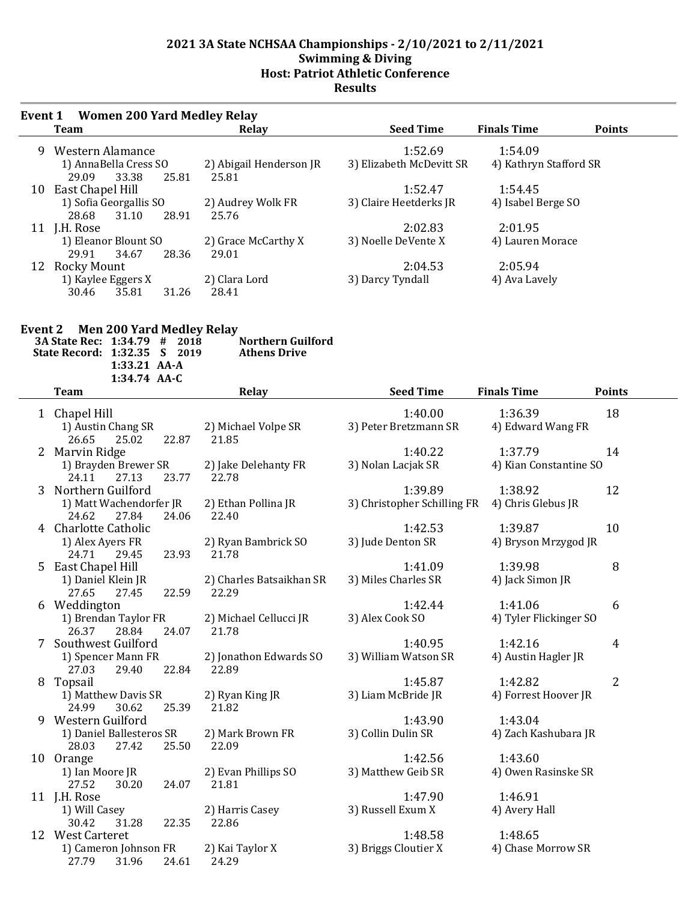| Event 1 | <b>Women 200 Yard Medley Relay</b>                |                                  |                          |                                     |  |
|---------|---------------------------------------------------|----------------------------------|--------------------------|-------------------------------------|--|
|         | Team                                              | Relay                            | <b>Seed Time</b>         | <b>Finals Time</b><br><b>Points</b> |  |
| 9       | Western Alamance                                  |                                  | 1:52.69                  | 1:54.09                             |  |
|         | 1) AnnaBella Cress SO<br>33.38<br>29.09<br>25.81  | 2) Abigail Henderson JR<br>25.81 | 3) Elizabeth McDevitt SR | 4) Kathryn Stafford SR              |  |
| 10      | East Chapel Hill                                  |                                  | 1:52.47                  | 1:54.45                             |  |
|         | 1) Sofia Georgallis SO<br>28.91<br>28.68<br>31.10 | 2) Audrey Wolk FR<br>25.76       | 3) Claire Heetderks JR   | 4) Isabel Berge SO                  |  |
| 11      | J.H. Rose                                         |                                  | 2:02.83                  | 2:01.95                             |  |
|         | 1) Eleanor Blount SO                              | 2) Grace McCarthy X              | 3) Noelle DeVente X      | 4) Lauren Morace                    |  |
|         | 29.91<br>34.67<br>28.36                           | 29.01                            |                          |                                     |  |
| 12      | Rocky Mount                                       |                                  | 2:04.53                  | 2:05.94                             |  |
|         | 1) Kaylee Eggers X<br>35.81<br>30.46<br>31.26     | 2) Clara Lord<br>28.41           | 3) Darcy Tyndall         | 4) Ava Lavely                       |  |

| Event 2 | <b>Men 200 Yard Medley Relay</b><br>3A State Rec: 1:34.79 #<br>2018<br>State Record: 1:32.35<br>2019<br>S.<br>1:33.21 AA-A<br>1:34.74 AA-C | <b>Northern Guilford</b><br><b>Athens Drive</b> |                             |                        |                |
|---------|--------------------------------------------------------------------------------------------------------------------------------------------|-------------------------------------------------|-----------------------------|------------------------|----------------|
|         | <b>Team</b>                                                                                                                                | Relay                                           | <b>Seed Time</b>            | <b>Finals Time</b>     | <b>Points</b>  |
|         | 1 Chapel Hill                                                                                                                              |                                                 | 1:40.00                     | 1:36.39                | 18             |
|         | 1) Austin Chang SR                                                                                                                         | 2) Michael Volpe SR                             | 3) Peter Bretzmann SR       | 4) Edward Wang FR      |                |
|         | 22.87<br>26.65<br>25.02                                                                                                                    | 21.85                                           |                             |                        |                |
|         | 2 Marvin Ridge                                                                                                                             |                                                 | 1:40.22                     | 1:37.79                | 14             |
|         | 1) Brayden Brewer SR                                                                                                                       | 2) Jake Delehanty FR                            | 3) Nolan Lacjak SR          | 4) Kian Constantine SO |                |
|         | 27.13<br>24.11<br>23.77                                                                                                                    | 22.78                                           |                             |                        |                |
|         | 3 Northern Guilford                                                                                                                        |                                                 | 1:39.89                     | 1:38.92                | 12             |
|         | 1) Matt Wachendorfer JR                                                                                                                    | 2) Ethan Pollina JR                             | 3) Christopher Schilling FR | 4) Chris Glebus JR     |                |
|         | 24.62<br>27.84<br>24.06                                                                                                                    | 22.40                                           |                             |                        |                |
|         | 4 Charlotte Catholic                                                                                                                       |                                                 | 1:42.53                     | 1:39.87                | 10             |
|         | 1) Alex Ayers FR                                                                                                                           | 2) Ryan Bambrick SO                             | 3) Jude Denton SR           | 4) Bryson Mrzygod JR   |                |
|         | 24.71<br>23.93<br>29.45                                                                                                                    | 21.78                                           |                             |                        |                |
|         | 5 East Chapel Hill                                                                                                                         |                                                 | 1:41.09                     | 1:39.98                | 8              |
|         | 1) Daniel Klein JR                                                                                                                         | 2) Charles Batsaikhan SR                        | 3) Miles Charles SR         | 4) Jack Simon JR       |                |
|         | 27.65<br>27.45<br>22.59                                                                                                                    | 22.29                                           |                             |                        |                |
|         | Weddington                                                                                                                                 |                                                 | 1:42.44                     | 1:41.06                | 6              |
|         | 1) Brendan Taylor FR                                                                                                                       | 2) Michael Cellucci JR                          | 3) Alex Cook SO             | 4) Tyler Flickinger SO |                |
|         | 26.37<br>28.84<br>24.07                                                                                                                    | 21.78                                           |                             |                        |                |
| 7       | Southwest Guilford                                                                                                                         |                                                 | 1:40.95                     | 1:42.16                | 4              |
|         | 1) Spencer Mann FR                                                                                                                         | 2) Jonathon Edwards SO                          | 3) William Watson SR        | 4) Austin Hagler JR    |                |
|         | 29.40<br>22.84<br>27.03                                                                                                                    | 22.89                                           |                             |                        |                |
| 8       | Topsail                                                                                                                                    |                                                 | 1:45.87                     | 1:42.82                | $\overline{2}$ |
|         | 1) Matthew Davis SR                                                                                                                        | 2) Ryan King JR                                 | 3) Liam McBride JR          | 4) Forrest Hoover JR   |                |
|         | 24.99<br>30.62<br>25.39                                                                                                                    | 21.82                                           |                             |                        |                |
|         | 9 Western Guilford                                                                                                                         |                                                 | 1:43.90                     | 1:43.04                |                |
|         | 1) Daniel Ballesteros SR                                                                                                                   | 2) Mark Brown FR                                | 3) Collin Dulin SR          | 4) Zach Kashubara JR   |                |
|         | 28.03<br>27.42<br>25.50                                                                                                                    | 22.09                                           |                             |                        |                |
|         | 10 Orange                                                                                                                                  |                                                 | 1:42.56                     | 1:43.60                |                |
|         | 1) Ian Moore JR                                                                                                                            | 2) Evan Phillips SO                             | 3) Matthew Geib SR          | 4) Owen Rasinske SR    |                |

27.52 30.20 24.07 21.81

30.42 31.28 22.35 22.86

27.79 31.96 24.61 24.29

1) Ian Moore JR 2) Evan Phillips SO 3) Matthew Geib SR 4) Owen Rasinske SR

11 J.H. Rose 1:46.91<br>1) Will Casey 2) Harris Casey 3) Russell Exum X 4) Avery H ey 2) Harris Casey 3) Russell Exum X 4) Avery Hall 31.28 22.35 22.86

12 West Carteret 1:48.65<br>1:48.65 1:48.65 1) Cameron Johnson FR 2) Kai Taylor X 3) Briggs Cloutier X 4) Chase M 1) Cameron Johnson FR 2) Kai Taylor X 3) Briggs Cloutier X 4) Chase Morrow SR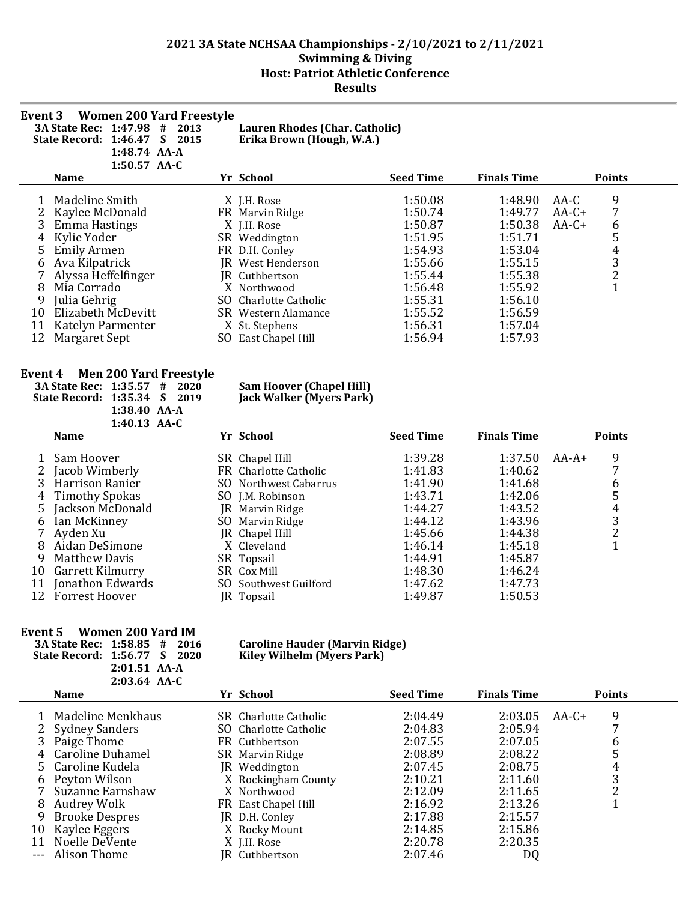| Event 3                                                                                                                                  | <b>Women 200 Yard Freestyle</b><br>3A State Rec: 1:47.98 # 2013<br>State Record: 1:46.47 S 2015<br>1:48.74 AA-A<br>1:50.57 AA-C |  | Lauren Rhodes (Char. Catholic)<br>Erika Brown (Hough, W.A.)        |                    |                    |                                            |
|------------------------------------------------------------------------------------------------------------------------------------------|---------------------------------------------------------------------------------------------------------------------------------|--|--------------------------------------------------------------------|--------------------|--------------------|--------------------------------------------|
|                                                                                                                                          | <b>Name</b>                                                                                                                     |  | Yr School                                                          | <b>Seed Time</b>   | <b>Finals Time</b> | <b>Points</b>                              |
| 1                                                                                                                                        | Madeline Smith                                                                                                                  |  | X J.H. Rose                                                        | 1:50.08            | 1:48.90            | 9<br>AA-C                                  |
| 2                                                                                                                                        | Kaylee McDonald                                                                                                                 |  | FR Marvin Ridge                                                    | 1:50.74            | 1:49.77            | 7<br>$AA-C+$                               |
| 3                                                                                                                                        | <b>Emma Hastings</b>                                                                                                            |  | X J.H. Rose                                                        | 1:50.87            | 1:50.38            | $AA-C+$<br>6                               |
| 4                                                                                                                                        | Kylie Yoder                                                                                                                     |  | SR Weddington                                                      | 1:51.95            | 1:51.71            | 5                                          |
| 5                                                                                                                                        | <b>Emily Armen</b>                                                                                                              |  | FR D.H. Conley                                                     | 1:54.93            | 1:53.04            |                                            |
| 6                                                                                                                                        | Ava Kilpatrick                                                                                                                  |  | JR West Henderson                                                  | 1:55.66            | 1:55.15            | $\begin{array}{c} 4 \\ 3 \\ 2 \end{array}$ |
| 7<br>8                                                                                                                                   | Alyssa Heffelfinger<br>Mia Corrado                                                                                              |  | JR Cuthbertson<br>X Northwood                                      | 1:55.44            | 1:55.38<br>1:55.92 | $\mathbf{1}$                               |
| 9                                                                                                                                        | Julia Gehrig                                                                                                                    |  | SO Charlotte Catholic                                              | 1:56.48<br>1:55.31 | 1:56.10            |                                            |
| 10                                                                                                                                       | Elizabeth McDevitt                                                                                                              |  | SR Western Alamance                                                | 1:55.52            | 1:56.59            |                                            |
| 11                                                                                                                                       | Katelyn Parmenter                                                                                                               |  | X St. Stephens                                                     | 1:56.31            | 1:57.04            |                                            |
| 12                                                                                                                                       | Margaret Sept                                                                                                                   |  | SO East Chapel Hill                                                | 1:56.94            | 1:57.93            |                                            |
| <b>Men 200 Yard Freestyle</b><br>Event 4<br>3A State Rec: 1:35.57 # 2020<br>State Record: 1:35.34 S 2019<br>1:38.40 AA-A<br>1:40.13 AA-C |                                                                                                                                 |  | <b>Sam Hoover (Chapel Hill)</b><br><b>Jack Walker (Myers Park)</b> |                    |                    |                                            |
|                                                                                                                                          | <b>Name</b>                                                                                                                     |  | Yr School                                                          | <b>Seed Time</b>   | <b>Finals Time</b> | <b>Points</b>                              |
| 1                                                                                                                                        | Sam Hoover                                                                                                                      |  | SR Chapel Hill                                                     | 1:39.28            | 1:37.50            | 9<br>$AA-A+$                               |
| 2                                                                                                                                        | Jacob Wimberly                                                                                                                  |  | FR Charlotte Catholic                                              | 1:41.83            | 1:40.62            | 7                                          |
| 3                                                                                                                                        | Harrison Ranier                                                                                                                 |  | SO Northwest Cabarrus                                              | 1:41.90            | 1:41.68            | 6                                          |
| 4                                                                                                                                        | <b>Timothy Spokas</b>                                                                                                           |  | SO J.M. Robinson                                                   | 1:43.71            | 1:42.06            | 5                                          |
| 5                                                                                                                                        | Jackson McDonald                                                                                                                |  | JR Marvin Ridge                                                    | 1:44.27            | 1:43.52            | 4                                          |
| 6                                                                                                                                        | Ian McKinney                                                                                                                    |  | SO Marvin Ridge                                                    | 1:44.12            | 1:43.96            | $\frac{3}{2}$                              |
| 7                                                                                                                                        | Ayden Xu                                                                                                                        |  | JR Chapel Hill                                                     | 1:45.66            | 1:44.38            |                                            |
| 8                                                                                                                                        | Aidan DeSimone                                                                                                                  |  | X Cleveland                                                        | 1:46.14            | 1:45.18            | $\mathbf{1}$                               |
| 9                                                                                                                                        | <b>Matthew Davis</b>                                                                                                            |  | SR Topsail                                                         | 1:44.91            | 1:45.87            |                                            |
| 10                                                                                                                                       | Garrett Kilmurry                                                                                                                |  | SR Cox Mill                                                        | 1:48.30            | 1:46.24            |                                            |
| 11                                                                                                                                       | Jonathon Edwards                                                                                                                |  | SO Southwest Guilford                                              | 1:47.62            | 1:47.73            |                                            |
| 12                                                                                                                                       | <b>Forrest Hoover</b>                                                                                                           |  | JR Topsail                                                         | 1:49.87            | 1:50.53            |                                            |

#### **Event 5 Women 200 Yard IM**

| 3A State Rec: 1:58.85 # 2016 |                |  |  | <b>Caroline Hauder (Marvin Rio</b> |
|------------------------------|----------------|--|--|------------------------------------|
| State Record: 1:56.77 S 2020 |                |  |  | <b>Kiley Wilhelm (Myers Park)</b>  |
|                              | $2:01.51$ AA-A |  |  |                                    |
|                              | $2:03.64$ AA-C |  |  |                                    |

# **3A State Rec: 1:58.85 # 2016 Caroline Hauder (Marvin Ridge)**

|    | <b>Name</b>           |     | Yr School             | <b>Seed Time</b> | <b>Finals Time</b> |         | <b>Points</b> |
|----|-----------------------|-----|-----------------------|------------------|--------------------|---------|---------------|
|    | Madeline Menkhaus     |     | SR Charlotte Catholic | 2:04.49          | 2:03.05            | $AA-C+$ | 9             |
|    | 2 Sydney Sanders      |     | SO Charlotte Catholic | 2:04.83          | 2:05.94            |         |               |
|    | 3 Paige Thome         |     | FR Cuthbertson        | 2:07.55          | 2:07.05            |         | 6             |
|    | 4 Caroline Duhamel    |     | SR Marvin Ridge       | 2:08.89          | 2:08.22            |         | 5             |
|    | 5 Caroline Kudela     | IR. | Weddington            | 2:07.45          | 2:08.75            |         | 4             |
|    | 6 Peyton Wilson       |     | X Rockingham County   | 2:10.21          | 2:11.60            |         | 3             |
|    | Suzanne Earnshaw      |     | X Northwood           | 2:12.09          | 2:11.65            |         | າ             |
| 8. | Audrey Wolk           |     | FR East Chapel Hill   | 2:16.92          | 2:13.26            |         |               |
| 9. | <b>Brooke Despres</b> |     | JR D.H. Conley        | 2:17.88          | 2:15.57            |         |               |
| 10 | Kaylee Eggers         |     | X Rocky Mount         | 2:14.85          | 2:15.86            |         |               |
| 11 | Noelle DeVente        |     | X J.H. Rose           | 2:20.78          | 2:20.35            |         |               |
|    | --- Alison Thome      |     | IR Cuthbertson        | 2:07.46          | DQ                 |         |               |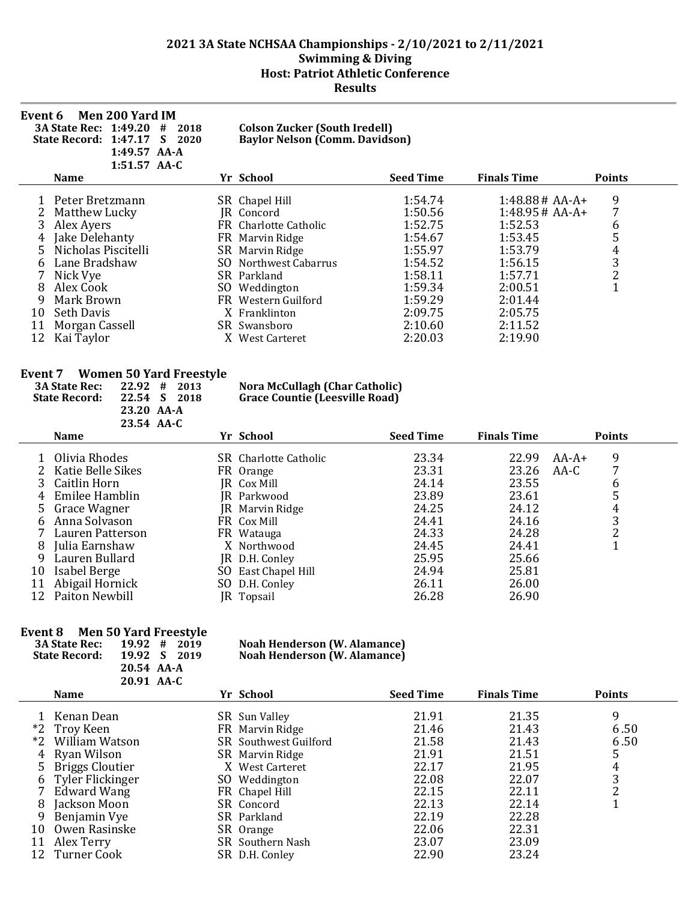| <b>Men 200 Yard IM</b><br>Event 6<br><b>3A State Rec: 1:49.20</b><br>#<br>2018<br>State Record: 1:47.17<br>S<br>2020<br>1:49.57 AA-A<br>$1:51.57$ AA-C                                                          | <b>Colson Zucker (South Iredell)</b><br><b>Baylor Nelson (Comm. Davidson)</b>                                                                                                                                             |                                                                                                                       |                                                                                                                                        |                                                   |
|-----------------------------------------------------------------------------------------------------------------------------------------------------------------------------------------------------------------|---------------------------------------------------------------------------------------------------------------------------------------------------------------------------------------------------------------------------|-----------------------------------------------------------------------------------------------------------------------|----------------------------------------------------------------------------------------------------------------------------------------|---------------------------------------------------|
| <b>Name</b>                                                                                                                                                                                                     | Yr School                                                                                                                                                                                                                 | <b>Seed Time</b>                                                                                                      | <b>Finals Time</b>                                                                                                                     | <b>Points</b>                                     |
| Peter Bretzmann<br>Matthew Lucky<br>3<br>Alex Ayers<br>Jake Delehanty<br>4<br>Nicholas Piscitelli<br>Lane Bradshaw<br>Nick Vye<br>Alex Cook<br>8<br>Mark Brown<br>9<br>Seth Davis<br>10<br>Morgan Cassell<br>11 | SR Chapel Hill<br>JR Concord<br>FR Charlotte Catholic<br>FR Marvin Ridge<br>SR Marvin Ridge<br>Northwest Cabarrus<br>SO.<br>SR Parkland<br>SO.<br>Weddington<br>FR -<br>Western Guilford<br>X Franklinton<br>SR Swansboro | 1:54.74<br>1:50.56<br>1:52.75<br>1:54.67<br>1:55.97<br>1:54.52<br>1:58.11<br>1:59.34<br>1:59.29<br>2:09.75<br>2:10.60 | $1:48.88# AA-A+$<br>$1:48.95#AA-A+$<br>1:52.53<br>1:53.45<br>1:53.79<br>1:56.15<br>1:57.71<br>2:00.51<br>2:01.44<br>2:05.75<br>2:11.52 | 9<br>7<br>6<br>5<br>4<br>3<br>$\overline{c}$<br>1 |

## **Event 7 Women 50 Yard Freestyle**

| <b>3A State Rec:</b><br><b>State Record:</b> | 22.92<br>22.54 S<br>23.20 AA-A<br>23.54 AA-C | #<br>2013<br>2018 | <b>Nora McCullagh (Char Catholic)</b><br><b>Grace Countie (Leesville Road)</b> |                  |                    |         |               |
|----------------------------------------------|----------------------------------------------|-------------------|--------------------------------------------------------------------------------|------------------|--------------------|---------|---------------|
| <b>Name</b>                                  |                                              |                   | Yr School                                                                      | <b>Seed Time</b> | <b>Finals Time</b> |         | <b>Points</b> |
| 1 Olivia Rhodes                              |                                              |                   | <b>SR</b> Charlotte Catholic                                                   | 23.34            | 22.99              | $AA-A+$ |               |
| 2 Katie Belle Sikes                          |                                              |                   | FR Orange                                                                      | 23.31            | 23.26              | AA-C    |               |
| 3 Caitlin Horn                               |                                              |                   | IR Cox Mill                                                                    | 24.14            | 23.55              |         |               |
| 4 Emilee Hamblin                             |                                              |                   | IR Parkwood                                                                    | 23.89            | 23.61              |         |               |
| 5 Grace Wagner                               |                                              |                   | JR Marvin Ridge                                                                | 24.25            | 24.12              |         | 4             |
|                                              |                                              |                   |                                                                                | - - - -          | - - - -            |         |               |

| 4 Emilee Hamblin   | JR Parkwood         | 23.89 | 23.61 |   |
|--------------------|---------------------|-------|-------|---|
| 5 Grace Wagner     | JR Marvin Ridge     | 24.25 | 24.12 |   |
| 6 Anna Solvason    | FR Cox Mill         | 24.41 | 24.16 |   |
| 7 Lauren Patterson | FR Watauga          | 24.33 | 24.28 | ∼ |
| 8 Julia Earnshaw   | X Northwood         | 24.45 | 24.41 |   |
| 9 Lauren Bullard   | JR D.H. Conley      | 25.95 | 25.66 |   |
| 10 Isabel Berge    | SO East Chapel Hill | 24.94 | 25.81 |   |
| 11 Abigail Hornick | SO D.H. Conley      | 26.11 | 26.00 |   |
| 12 Paiton Newbill  | JR Topsail          | 26.28 | 26.90 |   |

## **Event 8 Men 50 Yard Freestyle**

| $19.92 \div 2019$ | <b>Noah Henderson (W. Alamance)</b> |
|-------------------|-------------------------------------|
| 19.92 S 2019      | <b>Noah Henderson (W. Alamance)</b> |
| 20.54 AA-A        |                                     |
| 20.91 AA-C        |                                     |
|                   |                                     |

|    | Name               |    | Yr School             | <b>Seed Time</b> | <b>Finals Time</b> | <b>Points</b> |
|----|--------------------|----|-----------------------|------------------|--------------------|---------------|
|    | Kenan Dean         |    | SR Sun Valley         | 21.91            | 21.35              | 9             |
|    | *2 Troy Keen       |    | FR Marvin Ridge       | 21.46            | 21.43              | 6.50          |
|    | *2 William Watson  |    | SR Southwest Guilford | 21.58            | 21.43              | 6.50          |
| 4  | Ryan Wilson        |    | SR Marvin Ridge       | 21.91            | 21.51              | 5             |
|    | 5 Briggs Cloutier  | X. | West Carteret         | 22.17            | 21.95              | 4             |
|    | 6 Tyler Flickinger |    | SO Weddington         | 22.08            | 22.07              | 3             |
|    | Edward Wang        |    | FR Chapel Hill        | 22.15            | 22.11              | າ             |
| 8  | Jackson Moon       |    | SR Concord            | 22.13            | 22.14              |               |
|    | Benjamin Vye       |    | SR Parkland           | 22.19            | 22.28              |               |
| 10 | Owen Rasinske      |    | SR Orange             | 22.06            | 22.31              |               |
| 11 | Alex Terry         |    | SR Southern Nash      | 23.07            | 23.09              |               |
|    | 12 Turner Cook     |    | SR D.H. Conley        | 22.90            | 23.24              |               |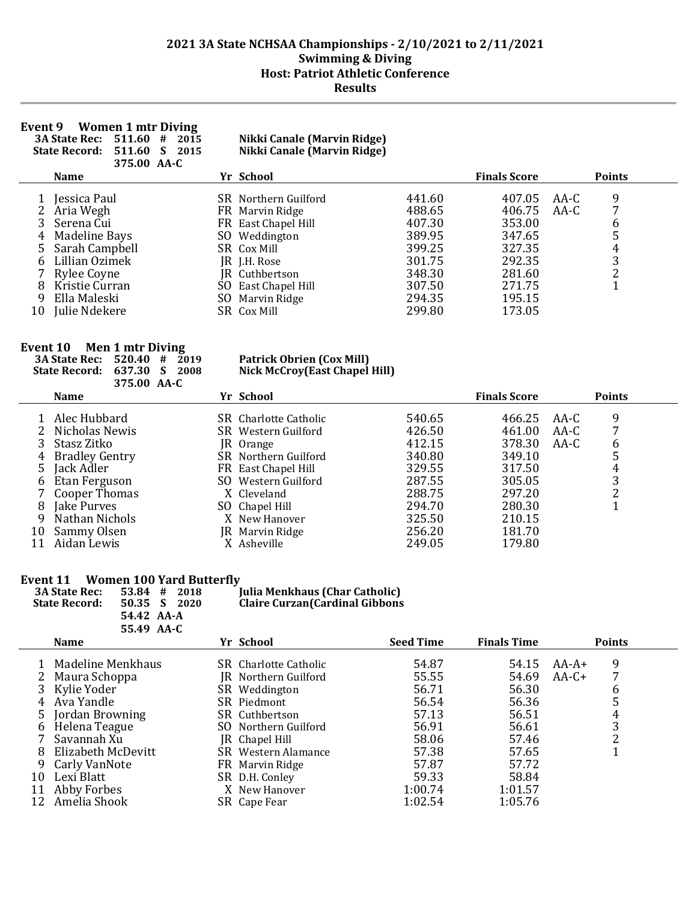#### **Event 9 Women 1 mtr Diving**

**3A State Rec: 511.60 # 2015 Nikki Canale (Marvin Ridge)**

**State Record: 511.60 S 2015 Nikki Canale (Marvin Ridge) 375.00 AA-C**

|         | <b>Name</b>                                     | Yr School                                                             |                            | <b>Finals Score</b>        |              | <b>Points</b> |
|---------|-------------------------------------------------|-----------------------------------------------------------------------|----------------------------|----------------------------|--------------|---------------|
|         | Jessica Paul<br>2 Aria Wegh<br>3 Serena Cui     | <b>SR</b> Northern Guilford<br>FR Marvin Ridge<br>FR East Chapel Hill | 441.60<br>488.65<br>407.30 | 407.05<br>406.75<br>353.00 | AA-C<br>AA-C | 9<br>6        |
|         | 4 Madeline Bays<br>5 Sarah Campbell             | SO Weddington<br>SR Cox Mill                                          | 389.95<br>399.25           | 347.65<br>327.35           |              | 5<br>4        |
|         | 6 Lillian Ozimek                                | JR J.H. Rose                                                          | 301.75                     | 292.35                     |              | 3             |
| 8<br>9. | 7 Rylee Coyne<br>Kristie Curran<br>Ella Maleski | JR Cuthbertson<br>SO East Chapel Hill<br>SO Marvin Ridge              | 348.30<br>307.50<br>294.35 | 281.60<br>271.75<br>195.15 |              |               |
| 10      | Julie Ndekere                                   | SR Cox Mill                                                           | 299.80                     | 173.05                     |              |               |

#### **Event 10 Men 1 mtr Diving**

÷

| $1.011$ $1.011$ $1.101$ $1.111$ | 3A State Rec: 520.40 # 2019        | <b>Patrick Obrien (Cox Mill)</b> |                     |               |  |
|---------------------------------|------------------------------------|----------------------------------|---------------------|---------------|--|
|                                 | <b>State Record: 637.30 S 2008</b> | Nick McCroy(East Chapel Hill)    |                     |               |  |
|                                 | 375.00 AA-C                        |                                  |                     |               |  |
| <b>Name</b>                     |                                    | Yr School                        | <b>Finals Score</b> | <b>Points</b> |  |

|    | машс             | $\mathbf{H}$ | <b>POLITUOL</b>       |        | т платэ эсогс |      | т оннез |
|----|------------------|--------------|-----------------------|--------|---------------|------|---------|
|    | Alec Hubbard     |              | SR Charlotte Catholic | 540.65 | 466.25        | AA-C | 9       |
|    | 2 Nicholas Newis |              | SR Western Guilford   | 426.50 | 461.00        | AA-C |         |
|    | Stasz Zitko      |              | <b>IR</b> Orange      | 412.15 | 378.30        | AA-C | 6       |
|    | 4 Bradley Gentry |              | SR Northern Guilford  | 340.80 | 349.10        |      |         |
|    | 5 Jack Adler     |              | FR East Chapel Hill   | 329.55 | 317.50        |      | 4       |
| 6  | Etan Ferguson    |              | SO Western Guilford   | 287.55 | 305.05        |      | 3       |
|    | 7 Cooper Thomas  |              | X Cleveland           | 288.75 | 297.20        |      |         |
| 8. | Jake Purves      |              | SO Chapel Hill        | 294.70 | 280.30        |      |         |
| q. | Nathan Nichols   |              | X New Hanover         | 325.50 | 210.15        |      |         |
| 10 | Sammy Olsen      |              | JR Marvin Ridge       | 256.20 | 181.70        |      |         |
|    | Aidan Lewis      |              | X Asheville           | 249.05 | 179.80        |      |         |

# **Event 11 Women 100 Yard Butterfly**<br>3A State Rec: 53.84 # 2018

| <b>3A State Rec:</b> | $53.84$ # 2 |  |
|----------------------|-------------|--|
| <b>State Record:</b> | $50.35 S_2$ |  |
|                      | 54.42 AA-A  |  |
|                      | 55.49 AA-C  |  |

**3A State Rec: 53.84 # 2018 Julia Menkhaus (Char Catholic) State Record: 50.35 S 2020 Claire Curzan(Cardinal Gibbons**

|       | JJ.TJ AA U                           |                                               |                  |                    |                    |               |
|-------|--------------------------------------|-----------------------------------------------|------------------|--------------------|--------------------|---------------|
|       | <b>Name</b>                          | Yr School                                     | <b>Seed Time</b> | <b>Finals Time</b> |                    | <b>Points</b> |
|       | Madeline Menkhaus<br>2 Maura Schoppa | SR Charlotte Catholic<br>IR Northern Guilford | 54.87<br>55.55   | 54.15<br>54.69     | $AA-A+$<br>$AA-C+$ | 9             |
|       | 3 Kylie Yoder                        | SR Weddington                                 | 56.71            | 56.30              |                    | b             |
| 4     | Ava Yandle                           | SR Piedmont                                   | 56.54            | 56.36              |                    | 5             |
| $5 -$ | Jordan Browning                      | SR Cuthbertson                                | 57.13            | 56.51              |                    | 4             |
| 6     | Helena Teague                        | SO Northern Guilford                          | 56.91            | 56.61              |                    | 3             |
|       | Savannah Xu                          | JR Chapel Hill                                | 58.06            | 57.46              |                    | າ             |
| 8     | Elizabeth McDevitt                   | SR Western Alamance                           | 57.38            | 57.65              |                    |               |
| 9     | Carly VanNote                        | FR Marvin Ridge                               | 57.87            | 57.72              |                    |               |
| 10    | Lexi Blatt                           | SR D.H. Conley                                | 59.33            | 58.84              |                    |               |
| 11    | Abby Forbes                          | X New Hanover                                 | 1:00.74          | 1:01.57            |                    |               |
| 12    | Amelia Shook                         | SR Cape Fear                                  | 1:02.54          | 1:05.76            |                    |               |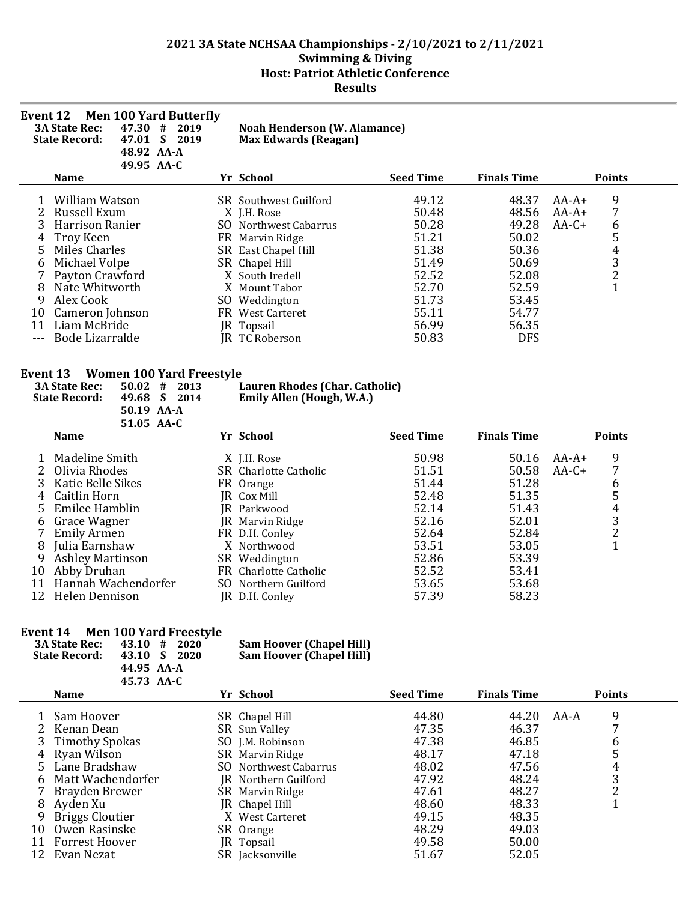| Event 12                                                                            | <b>Men 100 Yard Butterfly</b><br>47.30 #<br><b>3A State Rec:</b><br><b>State Record:</b><br>48.92 AA-A<br>49.95 AA-C                                                                                                                                                                                                                 | 2019<br>47.01 S 2019 | <b>Noah Henderson (W. Alamance)</b><br><b>Max Edwards (Reagan)</b>                                                                                                                                                                                                                                |                                                                                                          |                                                                                                               |                                                                                                      |
|-------------------------------------------------------------------------------------|--------------------------------------------------------------------------------------------------------------------------------------------------------------------------------------------------------------------------------------------------------------------------------------------------------------------------------------|----------------------|---------------------------------------------------------------------------------------------------------------------------------------------------------------------------------------------------------------------------------------------------------------------------------------------------|----------------------------------------------------------------------------------------------------------|---------------------------------------------------------------------------------------------------------------|------------------------------------------------------------------------------------------------------|
|                                                                                     | <b>Name</b>                                                                                                                                                                                                                                                                                                                          |                      | Yr School                                                                                                                                                                                                                                                                                         | <b>Seed Time</b>                                                                                         | <b>Finals Time</b>                                                                                            | <b>Points</b>                                                                                        |
| 1<br>2<br>3<br>4<br>5<br>6<br>7<br>8<br>9<br>10<br>11<br>$\overline{a}$<br>Event 13 | William Watson<br>Russell Exum<br>Harrison Ranier<br><b>Troy Keen</b><br><b>Miles Charles</b><br>Michael Volpe<br>Payton Crawford<br>Nate Whitworth<br>Alex Cook<br>Cameron Johnson<br>Liam McBride<br>Bode Lizarralde<br><b>Women 100 Yard Freestyle</b><br><b>3A State Rec:</b><br>$50.02$ #<br><b>State Record:</b><br>50.19 AA-A | 2013<br>49.68 S 2014 | SR Southwest Guilford<br>X J.H. Rose<br>SO Northwest Cabarrus<br>FR Marvin Ridge<br>SR East Chapel Hill<br>SR Chapel Hill<br>X South Iredell<br>X Mount Tabor<br>SO Weddington<br>FR West Carteret<br>JR Topsail<br>JR TC Roberson<br>Lauren Rhodes (Char. Catholic)<br>Emily Allen (Hough, W.A.) | 49.12<br>50.48<br>50.28<br>51.21<br>51.38<br>51.49<br>52.52<br>52.70<br>51.73<br>55.11<br>56.99<br>50.83 | 48.37<br>48.56<br>49.28<br>50.02<br>50.36<br>50.69<br>52.08<br>52.59<br>53.45<br>54.77<br>56.35<br><b>DFS</b> | 9<br>$AA-A+$<br>7<br>$AA-A+$<br>$AA-C+$<br>6<br>5<br>$\overline{4}$<br>$\frac{3}{2}$<br>$\mathbf{1}$ |
|                                                                                     | 51.05 AA-C                                                                                                                                                                                                                                                                                                                           |                      |                                                                                                                                                                                                                                                                                                   |                                                                                                          |                                                                                                               |                                                                                                      |
|                                                                                     | <b>Name</b>                                                                                                                                                                                                                                                                                                                          |                      | Yr School                                                                                                                                                                                                                                                                                         | <b>Seed Time</b>                                                                                         | <b>Finals Time</b>                                                                                            | <b>Points</b>                                                                                        |
| 1<br>2<br>3<br>4<br>5<br>6<br>7<br>8<br>9<br>10<br>11<br>12                         | Madeline Smith<br>Olivia Rhodes<br>Katie Belle Sikes<br>Caitlin Horn<br>Emilee Hamblin<br>Grace Wagner<br><b>Emily Armen</b><br>Julia Earnshaw<br><b>Ashley Martinson</b><br>Abby Druhan<br>Hannah Wachendorfer<br>Helen Dennison                                                                                                    |                      | X J.H. Rose<br>SR Charlotte Catholic<br>FR Orange<br>JR Cox Mill<br>JR Parkwood<br>JR Marvin Ridge<br>FR D.H. Conley<br>X Northwood<br>SR Weddington<br>FR Charlotte Catholic<br>SO Northern Guilford<br>JR D.H. Conley                                                                           | 50.98<br>51.51<br>51.44<br>52.48<br>52.14<br>52.16<br>52.64<br>53.51<br>52.86<br>52.52<br>53.65<br>57.39 | 50.16<br>50.58<br>51.28<br>51.35<br>51.43<br>52.01<br>52.84<br>53.05<br>53.39<br>53.41<br>53.68<br>58.23      | 9<br>AA-A+<br>$AA-C+$<br>7<br>6<br>5<br>$\overline{4}$<br>$\frac{3}{2}$<br>$\mathbf{1}$              |

# **Event 14 Men 100 Yard Freestyle**

| <b>3A State Rec:</b><br><b>State Record:</b> | $43.10 \pm 1$<br>- 2020<br>43.10 S<br>-2020<br>44.95 AA-A<br>45.73 AA-C | <b>Sam Hoover (Chapel Hill)</b><br><b>Sam Hoover (Chapel Hill)</b> |  |
|----------------------------------------------|-------------------------------------------------------------------------|--------------------------------------------------------------------|--|
| $N = -$                                      |                                                                         | $V - C - L - 1$                                                    |  |

|    | Name                   | Yr School             | <b>Seed Time</b> | <b>Finals Time</b> |      | <b>Points</b> |  |
|----|------------------------|-----------------------|------------------|--------------------|------|---------------|--|
|    | 1 Sam Hoover           | SR Chapel Hill        | 44.80            | 44.20              | AA-A | 9             |  |
|    | 2 Kenan Dean           | SR Sun Valley         | 47.35            | 46.37              |      |               |  |
|    | 3 Timothy Spokas       | SO J.M. Robinson      | 47.38            | 46.85              |      | 6             |  |
|    | 4 Ryan Wilson          | SR Marvin Ridge       | 48.17            | 47.18              |      | 5             |  |
|    | 5 Lane Bradshaw        | SO Northwest Cabarrus | 48.02            | 47.56              |      | 4             |  |
| 6  | Matt Wachendorfer      | IR Northern Guilford  | 47.92            | 48.24              |      | 3             |  |
|    | 7 Brayden Brewer       | SR Marvin Ridge       | 47.61            | 48.27              |      |               |  |
| 8  | Ayden Xu               | JR Chapel Hill        | 48.60            | 48.33              |      |               |  |
|    | <b>Briggs Cloutier</b> | X West Carteret       | 49.15            | 48.35              |      |               |  |
| 10 | Owen Rasinske          | SR Orange             | 48.29            | 49.03              |      |               |  |
| 11 | Forrest Hoover         | [R Topsail]           | 49.58            | 50.00              |      |               |  |
| 12 | Evan Nezat             | SR Jacksonville       | 51.67            | 52.05              |      |               |  |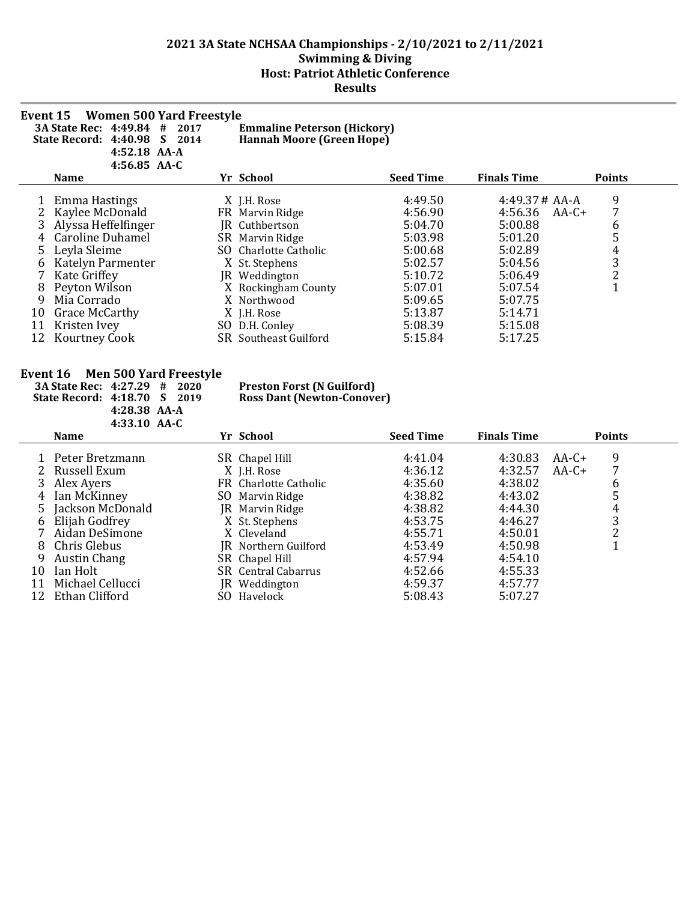| Event 15 | <b>Women 500 Yard Freestyle</b><br>3A State Rec: 4:49.84 #<br>2017<br>State Record: 4:40.98<br>S<br>2014<br>4:52.18 AA-A<br>$4:56.85$ AA-C |     | <b>Emmaline Peterson (Hickory)</b><br><b>Hannah Moore (Green Hope)</b> |                  |                    |               |
|----------|--------------------------------------------------------------------------------------------------------------------------------------------|-----|------------------------------------------------------------------------|------------------|--------------------|---------------|
|          | <b>Name</b>                                                                                                                                |     | Yr School                                                              | <b>Seed Time</b> | <b>Finals Time</b> | <b>Points</b> |
|          | Emma Hastings                                                                                                                              |     | X J.H. Rose                                                            | 4:49.50          | $4:49.37#AA-A$     | 9             |
|          | Kaylee McDonald                                                                                                                            |     | FR Marvin Ridge                                                        | 4:56.90          | 4:56.36<br>$AA-C+$ | 7             |
| 3        | Alyssa Heffelfinger                                                                                                                        |     | JR Cuthbertson                                                         | 5:04.70          | 5:00.88            | 6             |
|          | <b>Caroline Duhamel</b>                                                                                                                    |     | SR Marvin Ridge                                                        | 5:03.98          | 5:01.20            | 5             |
| 5        | Leyla Sleime                                                                                                                               | SO. | <b>Charlotte Catholic</b>                                              | 5:00.68          | 5:02.89            | 4             |
|          | Katelyn Parmenter                                                                                                                          |     | X St. Stephens                                                         | 5:02.57          | 5:04.56            | 3             |
|          | Kate Griffey                                                                                                                               | IR  | Weddington                                                             | 5:10.72          | 5:06.49            | 2             |
| 8        | Peyton Wilson                                                                                                                              |     | X Rockingham County                                                    | 5:07.01          | 5:07.54            | T             |
| 9        | Mia Corrado                                                                                                                                |     | X Northwood                                                            | 5:09.65          | 5:07.75            |               |
| 10       | <b>Grace McCarthy</b>                                                                                                                      |     | X J.H. Rose                                                            | 5:13.87          | 5:14.71            |               |
| 11       | Kristen Ivey                                                                                                                               | SO. | D.H. Conley                                                            | 5:08.39          | 5:15.08            |               |
| 12       | <b>Kourtney Cook</b>                                                                                                                       |     | SR Southeast Guilford                                                  | 5:15.84          | 5:17.25            |               |
|          |                                                                                                                                            |     |                                                                        |                  |                    |               |

#### **Event 16 Men 500 Yard Freestyle**

**3A State Rec: 4:27.29 # 2020 Preston Forst (N Guilford) State Record: 4:18.70 S 2019 Ross Dant (Newton-Conover) 4:28.38 AA-A 4:33.10 AA-C**

|    | <b>Name</b>         | Yr School                  | <b>Seed Time</b> | <b>Finals Time</b> |         | <b>Points</b> |
|----|---------------------|----------------------------|------------------|--------------------|---------|---------------|
|    | 1 Peter Bretzmann   | SR Chapel Hill             | 4:41.04          | 4:30.83            | AA-C+   | 9             |
|    | 2 Russell Exum      | X J.H. Rose                | 4:36.12          | 4:32.57            | $AA-C+$ |               |
| 3  | Alex Ayers          | FR Charlotte Catholic      | 4:35.60          | 4:38.02            |         | b             |
| 4  | Ian McKinney        | SO Marvin Ridge            | 4:38.82          | 4:43.02            |         |               |
|    | 5 Jackson McDonald  | JR Marvin Ridge            | 4:38.82          | 4:44.30            |         | 4             |
| 6  | Elijah Godfrey      | X St. Stephens             | 4:53.75          | 4:46.27            |         |               |
|    | Aidan DeSimone      | X Cleveland                | 4:55.71          | 4:50.01            |         |               |
| 8  | Chris Glebus        | JR Northern Guilford       | 4:53.49          | 4:50.98            |         |               |
| 9  | <b>Austin Chang</b> | SR Chapel Hill             | 4:57.94          | 4:54.10            |         |               |
| 10 | Ian Holt            | <b>SR</b> Central Cabarrus | 4:52.66          | 4:55.33            |         |               |
| 11 | Michael Cellucci    | JR Weddington              | 4:59.37          | 4:57.77            |         |               |
|    | 12 Ethan Clifford   | SO Havelock                | 5:08.43          | 5:07.27            |         |               |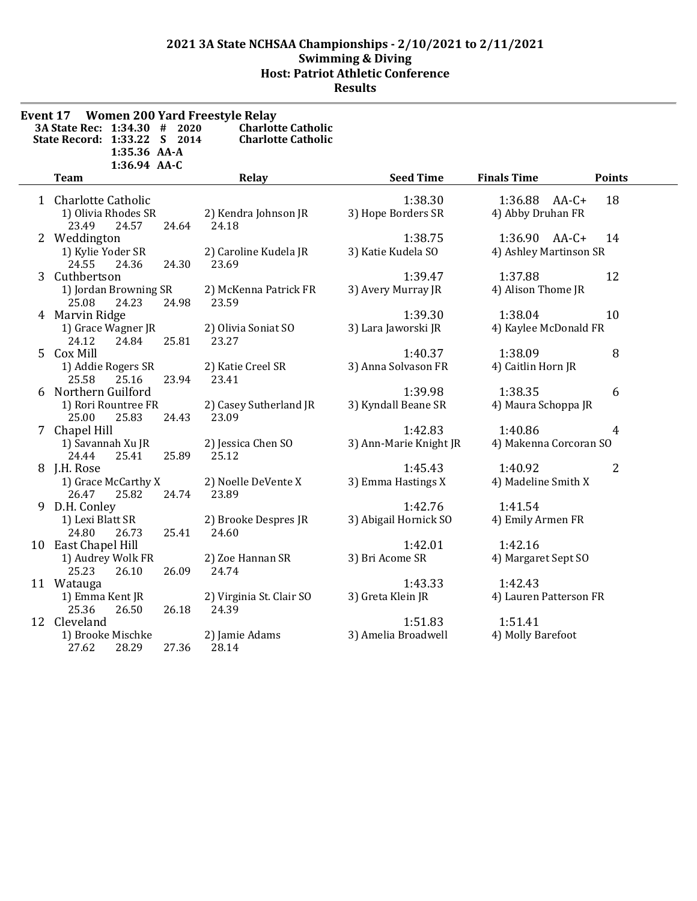| Event 17 Women 200 Yard Freestyle Relay<br>3A State Rec: 1:34.30 #<br>2020 | <b>Charlotte Catholic</b>         |                        |                        |                |
|----------------------------------------------------------------------------|-----------------------------------|------------------------|------------------------|----------------|
| State Record: 1:33.22 S 2014<br>1:35.36 AA-A                               | <b>Charlotte Catholic</b>         |                        |                        |                |
| 1:36.94 AA-C<br><b>Team</b>                                                | Relay                             | <b>Seed Time</b>       | <b>Finals Time</b>     | <b>Points</b>  |
| 1 Charlotte Catholic                                                       |                                   | 1:38.30                | 1:36.88<br>$AA-C+$     | 18             |
| 1) Olivia Rhodes SR<br>23.49<br>24.57<br>24.64                             | 2) Kendra Johnson JR<br>24.18     | 3) Hope Borders SR     | 4) Abby Druhan FR      |                |
| 2 Weddington                                                               |                                   | 1:38.75                | 1:36.90 AA-C+          | 14             |
| 1) Kylie Yoder SR<br>24.55<br>24.36<br>24.30                               | 2) Caroline Kudela JR<br>23.69    | 3) Katie Kudela SO     | 4) Ashley Martinson SR |                |
| 3 Cuthbertson                                                              |                                   | 1:39.47                | 1:37.88                | 12             |
| 1) Jordan Browning SR<br>25.08<br>24.23<br>24.98                           | 2) McKenna Patrick FR<br>23.59    | 3) Avery Murray JR     | 4) Alison Thome JR     |                |
| 4 Marvin Ridge                                                             |                                   | 1:39.30                | 1:38.04                | 10             |
| 1) Grace Wagner JR<br>25.81<br>24.12<br>24.84                              | 2) Olivia Soniat SO<br>23.27      | 3) Lara Jaworski JR    | 4) Kaylee McDonald FR  |                |
| 5 Cox Mill                                                                 |                                   | 1:40.37                | 1:38.09                | 8              |
| 1) Addie Rogers SR<br>25.58<br>25.16<br>23.94                              | 2) Katie Creel SR<br>23.41        | 3) Anna Solvason FR    | 4) Caitlin Horn JR     |                |
| 6 Northern Guilford                                                        |                                   | 1:39.98                | 1:38.35                | 6              |
| 1) Rori Rountree FR<br>25.00<br>25.83<br>24.43                             | 2) Casey Sutherland JR<br>23.09   | 3) Kyndall Beane SR    | 4) Maura Schoppa JR    |                |
| 7 Chapel Hill                                                              |                                   | 1:42.83                | 1:40.86                | $\overline{4}$ |
| 1) Savannah Xu JR<br>24.44<br>25.41<br>25.89                               | 2) Jessica Chen SO<br>25.12       | 3) Ann-Marie Knight JR | 4) Makenna Corcoran SO |                |
| 8 J.H. Rose                                                                |                                   | 1:45.43                | 1:40.92                | 2              |
| 1) Grace McCarthy X<br>25.82<br>24.74<br>26.47                             | 2) Noelle DeVente X<br>23.89      | 3) Emma Hastings X     | 4) Madeline Smith X    |                |
| 9 D.H. Conley                                                              |                                   | 1:42.76                | 1:41.54                |                |
| 1) Lexi Blatt SR<br>25.41<br>24.80<br>26.73                                | 2) Brooke Despres JR<br>24.60     | 3) Abigail Hornick SO  | 4) Emily Armen FR      |                |
| 10 East Chapel Hill                                                        |                                   | 1:42.01                | 1:42.16                |                |
| 1) Audrey Wolk FR<br>25.23<br>26.10<br>26.09                               | 2) Zoe Hannan SR<br>24.74         | 3) Bri Acome SR        | 4) Margaret Sept SO    |                |
| 11 Watauga                                                                 |                                   | 1:43.33                | 1:42.43                |                |
| 1) Emma Kent JR<br>26.18<br>25.36<br>26.50                                 | 2) Virginia St. Clair SO<br>24.39 | 3) Greta Klein JR      | 4) Lauren Patterson FR |                |
| 12 Cleveland                                                               |                                   | 1:51.83                | 1:51.41                |                |
| 1) Brooke Mischke<br>28.29<br>27.36<br>27.62                               | 2) Jamie Adams<br>28.14           | 3) Amelia Broadwell    | 4) Molly Barefoot      |                |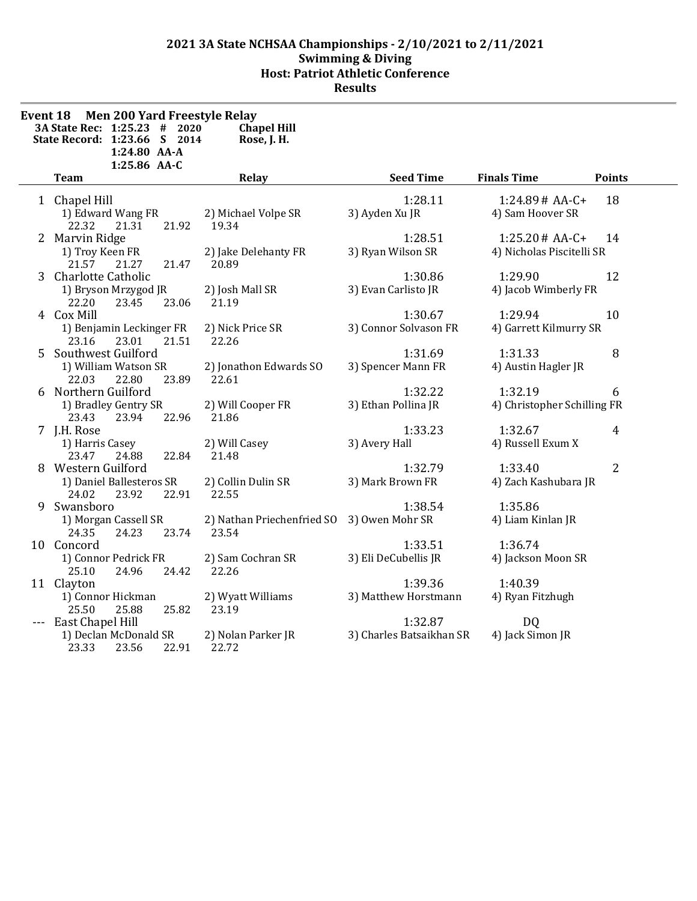| Event 18 | <b>Men 200 Yard Freestyle Relay</b><br>3A State Rec: 1:25.23<br>#<br>2020<br>State Record: 1:23.66 S 2014<br>1:24.80 AA-A<br>1:25.86 AA-C | <b>Chapel Hill</b><br>Rose, J. H.   |                                     |                                              |                |
|----------|-------------------------------------------------------------------------------------------------------------------------------------------|-------------------------------------|-------------------------------------|----------------------------------------------|----------------|
|          | <b>Team</b>                                                                                                                               | Relay                               | <b>Seed Time</b>                    | <b>Finals Time</b>                           | <b>Points</b>  |
|          | 1 Chapel Hill<br>1) Edward Wang FR<br>22.32<br>21.92<br>21.31                                                                             | 2) Michael Volpe SR<br>19.34        | 1:28.11<br>3) Ayden Xu JR           | $1:24.89#AA-C+$<br>4) Sam Hoover SR          | 18             |
|          | 2 Marvin Ridge<br>1) Troy Keen FR<br>21.57<br>21.27<br>21.47                                                                              | 2) Jake Delehanty FR<br>20.89       | 1:28.51<br>3) Ryan Wilson SR        | $1:25.20#AA-C+$<br>4) Nicholas Piscitelli SR | 14             |
|          | 3 Charlotte Catholic<br>1) Bryson Mrzygod JR<br>22.20<br>23.45<br>23.06                                                                   | 2) Josh Mall SR<br>21.19            | 1:30.86<br>3) Evan Carlisto JR      | 1:29.90<br>4) Jacob Wimberly FR              | 12             |
|          | 4 Cox Mill<br>1) Benjamin Leckinger FR<br>23.16<br>23.01<br>21.51                                                                         | 2) Nick Price SR<br>22.26           | 1:30.67<br>3) Connor Solvason FR    | 1:29.94<br>4) Garrett Kilmurry SR            | 10             |
|          | 5 Southwest Guilford<br>1) William Watson SR<br>22.03<br>22.80<br>23.89                                                                   | 2) Jonathon Edwards SO<br>22.61     | 1:31.69<br>3) Spencer Mann FR       | 1:31.33<br>4) Austin Hagler JR               | 8              |
|          | 6 Northern Guilford<br>1) Bradley Gentry SR<br>22.96<br>23.43<br>23.94                                                                    | 2) Will Cooper FR<br>21.86          | 1:32.22<br>3) Ethan Pollina JR      | 1:32.19<br>4) Christopher Schilling FR       | 6              |
|          | 7 J.H. Rose<br>1) Harris Casey<br>23.47<br>24.88<br>22.84                                                                                 | 2) Will Casey<br>21.48              | 1:33.23<br>3) Avery Hall            | 1:32.67<br>4) Russell Exum X                 | 4              |
|          | 8 Western Guilford<br>1) Daniel Ballesteros SR<br>24.02<br>23.92<br>22.91                                                                 | 2) Collin Dulin SR<br>22.55         | 1:32.79<br>3) Mark Brown FR         | 1:33.40<br>4) Zach Kashubara JR              | $\overline{2}$ |
| 9        | Swansboro<br>1) Morgan Cassell SR<br>24.35<br>24.23<br>23.74                                                                              | 2) Nathan Priechenfried SO<br>23.54 | 1:38.54<br>3) Owen Mohr SR          | 1:35.86<br>4) Liam Kinlan JR                 |                |
|          | 10 Concord<br>1) Connor Pedrick FR<br>25.10<br>24.96<br>24.42                                                                             | 2) Sam Cochran SR<br>22.26          | 1:33.51<br>3) Eli DeCubellis JR     | 1:36.74<br>4) Jackson Moon SR                |                |
|          | 11 Clayton<br>1) Connor Hickman<br>25.50<br>25.82<br>25.88                                                                                | 2) Wyatt Williams<br>23.19          | 1:39.36<br>3) Matthew Horstmann     | 1:40.39<br>4) Ryan Fitzhugh                  |                |
|          | East Chapel Hill<br>1) Declan McDonald SR<br>23.33<br>23.56<br>22.91                                                                      | 2) Nolan Parker JR<br>22.72         | 1:32.87<br>3) Charles Batsaikhan SR | DQ<br>4) Jack Simon JR                       |                |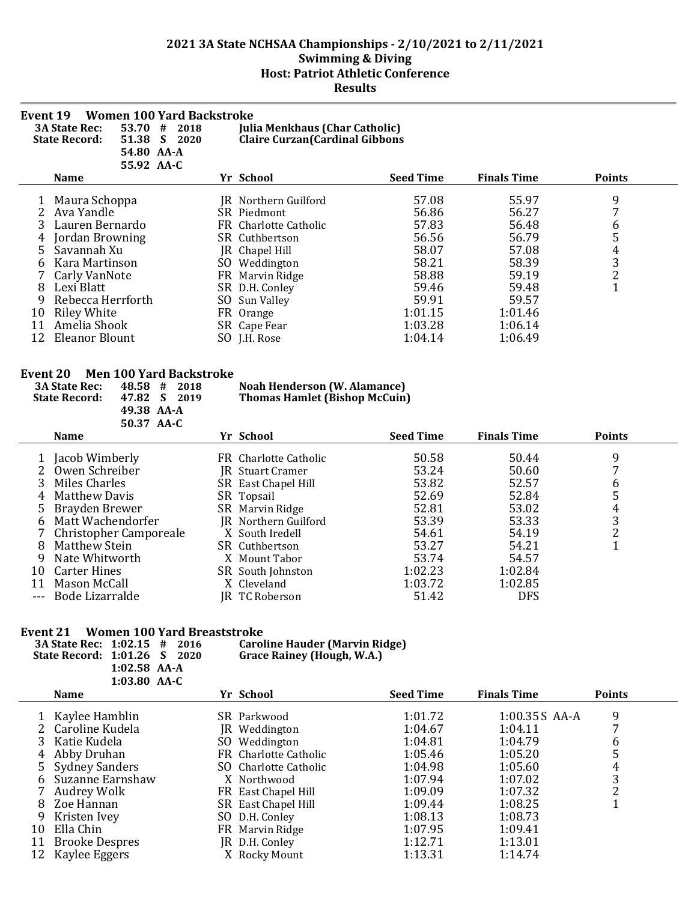| <b>Women 100 Yard Backstroke</b><br>Event 19<br>53.70<br><b>3A State Rec:</b><br><b>Julia Menkhaus (Char Catholic)</b><br>#<br>2018<br><b>Claire Curzan (Cardinal Gibbons</b><br>51.38<br><b>State Record:</b><br>S<br>2020<br>54.80 AA-A<br>55.92 AA-C |                             |     |                                     |                  |                    |               |  |  |  |
|---------------------------------------------------------------------------------------------------------------------------------------------------------------------------------------------------------------------------------------------------------|-----------------------------|-----|-------------------------------------|------------------|--------------------|---------------|--|--|--|
|                                                                                                                                                                                                                                                         | <b>Name</b>                 |     | Yr School                           | <b>Seed Time</b> | <b>Finals Time</b> | <b>Points</b> |  |  |  |
|                                                                                                                                                                                                                                                         | Maura Schoppa<br>Ava Yandle |     | JR Northern Guilford<br>SR Piedmont | 57.08<br>56.86   | 55.97<br>56.27     | 9<br>7        |  |  |  |
|                                                                                                                                                                                                                                                         | Lauren Bernardo             |     | FR Charlotte Catholic               | 57.83            | 56.48              | 6             |  |  |  |
| 4                                                                                                                                                                                                                                                       | Jordan Browning             |     | SR Cuthbertson                      | 56.56            | 56.79              | 5             |  |  |  |
| 5                                                                                                                                                                                                                                                       | Savannah Xu                 |     | JR Chapel Hill                      | 58.07            | 57.08              | 4             |  |  |  |
| b                                                                                                                                                                                                                                                       | Kara Martinson              | SO. | Weddington                          | 58.21            | 58.39              | 3             |  |  |  |
|                                                                                                                                                                                                                                                         | Carly VanNote               |     | FR Marvin Ridge                     | 58.88            | 59.19              | 2             |  |  |  |
| 8                                                                                                                                                                                                                                                       | Lexi Blatt                  |     | SR D.H. Conley                      | 59.46            | 59.48              | $\mathbf{1}$  |  |  |  |
| 9                                                                                                                                                                                                                                                       | Rebecca Herrforth           | SO  | Sun Valley                          | 59.91            | 59.57              |               |  |  |  |
| 10                                                                                                                                                                                                                                                      | <b>Riley White</b>          |     | FR Orange                           | 1:01.15          | 1:01.46            |               |  |  |  |
| 11                                                                                                                                                                                                                                                      | Amelia Shook                |     | SR Cape Fear                        | 1:03.28          | 1:06.14            |               |  |  |  |
| 12                                                                                                                                                                                                                                                      | <b>Eleanor Blount</b>       |     | SO J.H. Rose                        | 1:04.14          | 1:06.49            |               |  |  |  |

#### **Event 20 Men 100 Yard Backstroke**

|                        | 48.58<br><b>3A State Rec:</b><br>#<br>2018<br><b>State Record:</b><br>47.82<br>2019<br>49.38 AA-A                                                                                             |     | <b>Noah Henderson (W. Alamance)</b><br><b>Thomas Hamlet (Bishop McCuin)</b>                                                                                                                       |                                                                                          |                                                                                          |                            |
|------------------------|-----------------------------------------------------------------------------------------------------------------------------------------------------------------------------------------------|-----|---------------------------------------------------------------------------------------------------------------------------------------------------------------------------------------------------|------------------------------------------------------------------------------------------|------------------------------------------------------------------------------------------|----------------------------|
|                        | 50.37 AA-C<br><b>Name</b>                                                                                                                                                                     |     | Yr School                                                                                                                                                                                         | <b>Seed Time</b>                                                                         | <b>Finals Time</b>                                                                       | <b>Points</b>              |
| 4<br>6<br>8<br>9<br>10 | Jacob Wimberly<br>Owen Schreiber<br>Miles Charles<br>Matthew Davis<br>Brayden Brewer<br>Matt Wachendorfer<br>Christopher Camporeale<br>Matthew Stein<br>Nate Whitworth<br><b>Carter Hines</b> | FR. | Charlotte Catholic<br>JR Stuart Cramer<br>SR East Chapel Hill<br>SR Topsail<br>SR Marvin Ridge<br>JR Northern Guilford<br>X South Iredell<br>SR Cuthbertson<br>X Mount Tabor<br>SR South Johnston | 50.58<br>53.24<br>53.82<br>52.69<br>52.81<br>53.39<br>54.61<br>53.27<br>53.74<br>1:02.23 | 50.44<br>50.60<br>52.57<br>52.84<br>53.02<br>53.33<br>54.19<br>54.21<br>54.57<br>1:02.84 | 9<br>b<br>5<br>4<br>3<br>C |
| 11<br>$---$            | Mason McCall<br>Bode Lizarralde                                                                                                                                                               | IR. | X Cleveland<br>TC Roberson                                                                                                                                                                        | 1:03.72<br>51.42                                                                         | 1:02.85<br><b>DFS</b>                                                                    |                            |

#### **Event 21 Women 100 Yard Breaststroke**

|    | <b>Women 100 Yard Breaststroke</b><br>E <b>vent 21</b><br>3A State Rec: 1:02.15 #<br>2016<br>State Record: 1:01.26 S<br>2020<br>$1:02.58$ AA-A<br>1:03.80 AA-C |     | <b>Caroline Hauder (Marvin Ridge)</b><br><b>Grace Rainey (Hough, W.A.)</b> |                  |                    |               |
|----|----------------------------------------------------------------------------------------------------------------------------------------------------------------|-----|----------------------------------------------------------------------------|------------------|--------------------|---------------|
|    | <b>Name</b>                                                                                                                                                    |     | Yr School                                                                  | <b>Seed Time</b> | <b>Finals Time</b> | <b>Points</b> |
|    | Kaylee Hamblin                                                                                                                                                 |     | SR Parkwood                                                                | 1:01.72          | 1:00.35 S AA-A     | 9             |
|    | Caroline Kudela                                                                                                                                                |     | JR Weddington                                                              | 1:04.67          | 1:04.11            |               |
|    | Katie Kudela                                                                                                                                                   | SO. | Weddington                                                                 | 1:04.81          | 1:04.79            | b             |
|    | Abby Druhan                                                                                                                                                    |     | FR Charlotte Catholic                                                      | 1:05.46          | 1:05.20            | כ             |
|    | <b>Sydney Sanders</b>                                                                                                                                          |     | SO Charlotte Catholic                                                      | 1:04.98          | 1:05.60            | 4             |
| 6  | Suzanne Earnshaw                                                                                                                                               |     | X Northwood                                                                | 1:07.94          | 1:07.02            | 3             |
|    | Audrey Wolk                                                                                                                                                    |     | FR East Chapel Hill                                                        | 1:09.09          | 1:07.32            | C.            |
| 8  | Zoe Hannan                                                                                                                                                     |     | SR East Chapel Hill                                                        | 1:09.44          | 1:08.25            |               |
| 9  | Kristen Ivey                                                                                                                                                   |     | SO D.H. Conley                                                             | 1:08.13          | 1:08.73            |               |
| 10 | Ella Chin                                                                                                                                                      |     | FR Marvin Ridge                                                            | 1:07.95          | 1:09.41            |               |
| 11 | <b>Brooke Despres</b>                                                                                                                                          |     | JR D.H. Conley                                                             | 1:12.71          | 1:13.01            |               |
|    | Kaylee Eggers                                                                                                                                                  |     | X Rocky Mount                                                              | 1:13.31          | 1:14.74            |               |
|    |                                                                                                                                                                |     |                                                                            |                  |                    |               |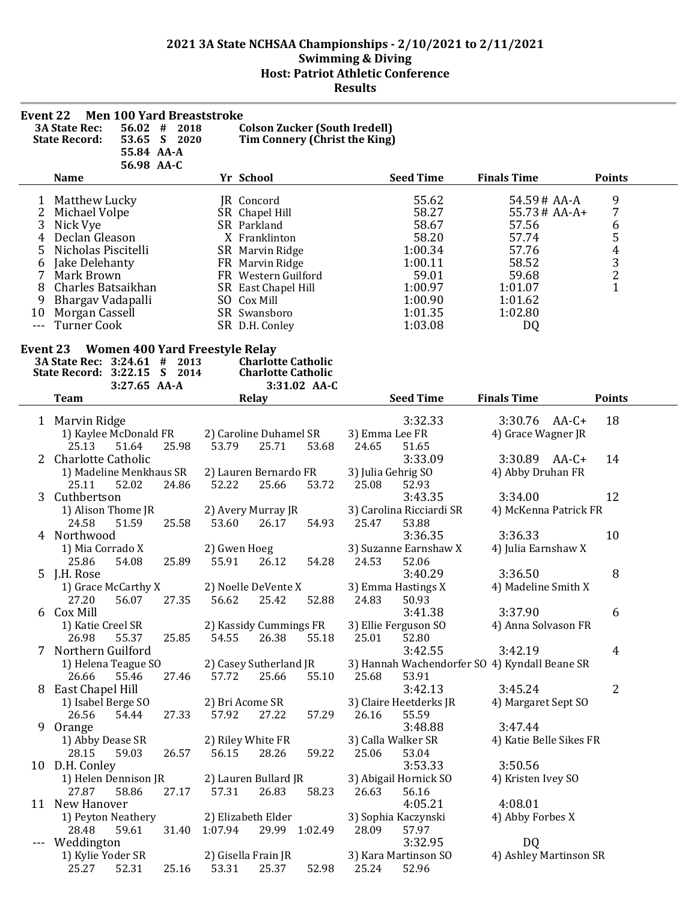| Event 22       |                              |              | <b>Men 100 Yard Breaststroke</b>      |              |                                      |              |                    |                               |                                               |                |
|----------------|------------------------------|--------------|---------------------------------------|--------------|--------------------------------------|--------------|--------------------|-------------------------------|-----------------------------------------------|----------------|
|                | <b>3A State Rec:</b>         | 56.02        | #<br>2018                             |              | <b>Colson Zucker (South Iredell)</b> |              |                    |                               |                                               |                |
|                | <b>State Record:</b>         |              | 53.65 S 2020                          |              | Tim Connery (Christ the King)        |              |                    |                               |                                               |                |
|                |                              | 55.84 AA-A   |                                       |              |                                      |              |                    |                               |                                               |                |
|                | <b>Name</b>                  | 56.98 AA-C   |                                       |              |                                      |              |                    | <b>Seed Time</b>              |                                               |                |
|                |                              |              |                                       |              | Yr School                            |              |                    |                               | <b>Finals Time</b>                            | <b>Points</b>  |
| 1              | Matthew Lucky                |              |                                       |              | JR Concord                           |              |                    | 55.62                         | 54.59# AA-A                                   | 9              |
| 2              | Michael Volpe                |              |                                       |              | SR Chapel Hill                       |              |                    | 58.27                         | $55.73 \# AA-A+$                              | 7              |
| 3              | Nick Vye                     |              |                                       |              | SR Parkland                          |              |                    | 58.67                         | 57.56                                         | 6              |
| 4              | Declan Gleason               |              |                                       |              | X Franklinton                        |              |                    | 58.20                         | 57.74                                         |                |
| 5              | Nicholas Piscitelli          |              |                                       |              | SR Marvin Ridge                      |              |                    | 1:00.34                       | 57.76                                         |                |
| 6              | Jake Delehanty               |              |                                       |              | FR Marvin Ridge                      |              |                    | 1:00.11                       | 58.52                                         | 543<br>2       |
| 7              | Mark Brown                   |              |                                       |              | FR Western Guilford                  |              |                    | 59.01                         | 59.68                                         |                |
| 8              | Charles Batsaikhan           |              |                                       |              | SR East Chapel Hill                  |              |                    | 1:00.97                       | 1:01.07                                       | $\overline{1}$ |
| 9              | Bhargav Vadapalli            |              |                                       |              | SO Cox Mill                          |              |                    | 1:00.90                       | 1:01.62                                       |                |
| 10             | Morgan Cassell               |              |                                       |              | SR Swansboro                         |              |                    | 1:01.35                       | 1:02.80                                       |                |
| $\overline{a}$ | <b>Turner Cook</b>           |              |                                       |              | SR D.H. Conley                       |              |                    | 1:03.08                       | DQ                                            |                |
| Event 23       |                              |              | <b>Women 400 Yard Freestyle Relay</b> |              |                                      |              |                    |                               |                                               |                |
|                | 3A State Rec: 3:24.61 #      |              | 2013                                  |              | <b>Charlotte Catholic</b>            |              |                    |                               |                                               |                |
|                | State Record: 3:22.15 S 2014 |              |                                       |              | <b>Charlotte Catholic</b>            |              |                    |                               |                                               |                |
|                |                              | 3:27.65 AA-A |                                       |              |                                      | 3:31.02 AA-C |                    |                               |                                               |                |
|                | <b>Team</b>                  |              |                                       |              | Relay                                |              |                    | <b>Seed Time</b>              | <b>Finals Time</b>                            | <b>Points</b>  |
|                | 1 Marvin Ridge               |              |                                       |              |                                      |              |                    | 3:32.33                       | 3:30.76 AA-C+                                 | 18             |
|                | 1) Kaylee McDonald FR        |              |                                       |              | 2) Caroline Duhamel SR               |              | 3) Emma Lee FR     |                               | 4) Grace Wagner JR                            |                |
|                | 25.13                        | 51.64        | 25.98                                 | 53.79        | 25.71                                | 53.68        | 24.65              | 51.65                         |                                               |                |
| 2              | Charlotte Catholic           |              |                                       |              |                                      |              |                    | 3:33.09                       | 3:30.89 AA-C+                                 | 14             |
|                | 1) Madeline Menkhaus SR      |              |                                       |              | 2) Lauren Bernardo FR                |              | 3) Julia Gehrig SO |                               | 4) Abby Druhan FR                             |                |
|                | 25.11                        | 52.02        | 24.86                                 | 52.22        | 25.66                                | 53.72        | 25.08              | 52.93                         |                                               |                |
| 3              | Cuthbertson                  |              |                                       |              |                                      |              |                    | 3:43.35                       | 3:34.00                                       | 12             |
|                | 1) Alison Thome JR           |              |                                       |              | 2) Avery Murray JR                   |              |                    | 3) Carolina Ricciardi SR      | 4) McKenna Patrick FR                         |                |
|                | 24.58                        | 51.59        | 25.58                                 | 53.60        | 26.17                                | 54.93        | 25.47              | 53.88                         |                                               |                |
|                | 4 Northwood                  |              |                                       |              |                                      |              |                    | 3:36.35                       | 3:36.33                                       | 10             |
|                | 1) Mia Corrado X             |              |                                       | 2) Gwen Hoeg |                                      |              |                    | 3) Suzanne Earnshaw X         | 4) Julia Earnshaw X                           |                |
|                | 25.86                        | 54.08        | 25.89                                 | 55.91        | 26.12                                | 54.28        | 24.53              | 52.06                         |                                               |                |
|                | 5 J.H. Rose                  |              |                                       |              |                                      |              |                    | 3:40.29                       | 3:36.50                                       | 8              |
|                | 1) Grace McCarthy X          |              |                                       |              | 2) Noelle DeVente X                  |              |                    | 3) Emma Hastings X            | 4) Madeline Smith X                           |                |
|                | 27.20                        | 56.07        | 27.35                                 | 56.62        | 25.42                                | 52.88        | 24.83              | 50.93                         |                                               |                |
| 6              | Cox Mill                     |              |                                       |              |                                      |              |                    | 3:41.38                       | 3:37.90                                       | 6              |
|                | 1) Katie Creel SR<br>26.98   | 55.37        |                                       | 54.55        | 2) Kassidy Cummings FR               |              |                    | 3) Ellie Ferguson SO<br>52.80 | 4) Anna Solvason FR                           |                |
|                | 7 Northern Guilford          |              | 25.85                                 |              | 26.38                                | 55.18        | 25.01              | 3:42.55                       | 3:42.19                                       | $\overline{4}$ |
|                | 1) Helena Teague SO          |              |                                       |              | 2) Casey Sutherland JR               |              |                    |                               | 3) Hannah Wachendorfer SO 4) Kyndall Beane SR |                |
|                | 26.66                        | 55.46        | 27.46                                 | 57.72        | 25.66                                | 55.10        | 25.68              | 53.91                         |                                               |                |
|                | 8 East Chapel Hill           |              |                                       |              |                                      |              |                    | 3:42.13                       | 3:45.24                                       | $\overline{2}$ |
|                | 1) Isabel Berge SO           |              |                                       |              | 2) Bri Acome SR                      |              |                    | 3) Claire Heetderks JR        | 4) Margaret Sept SO                           |                |
|                | 26.56                        | 54.44        | 27.33                                 | 57.92        | 27.22                                | 57.29        | 26.16              | 55.59                         |                                               |                |
|                | 9 Orange                     |              |                                       |              |                                      |              |                    | 3:48.88                       | 3:47.44                                       |                |
|                | 1) Abby Dease SR             |              |                                       |              | 2) Riley White FR                    |              | 3) Calla Walker SR |                               | 4) Katie Belle Sikes FR                       |                |
|                | 28.15                        | 59.03        | 26.57                                 | 56.15        | 28.26                                | 59.22        | 25.06              | 53.04                         |                                               |                |
|                | 10 D.H. Conley               |              |                                       |              |                                      |              |                    | 3:53.33                       | 3:50.56                                       |                |
|                | 1) Helen Dennison JR         |              |                                       |              | 2) Lauren Bullard JR                 |              |                    | 3) Abigail Hornick SO         | 4) Kristen Ivey SO                            |                |
|                | 27.87                        | 58.86        | 27.17                                 | 57.31        | 26.83                                | 58.23        | 26.63              | 56.16                         |                                               |                |
|                | 11 New Hanover               |              |                                       |              |                                      |              |                    | 4:05.21                       | 4:08.01                                       |                |
|                | 1) Peyton Neathery           |              |                                       |              | 2) Elizabeth Elder                   |              |                    | 3) Sophia Kaczynski           | 4) Abby Forbes X                              |                |
|                | 28.48                        | 59.61        | 31.40                                 | 1:07.94      | 29.99 1:02.49                        |              | 28.09              | 57.97                         |                                               |                |
| ---            | Weddington                   |              |                                       |              |                                      |              |                    | 3:32.95                       | DQ                                            |                |
|                | 1) Kylie Yoder SR            |              |                                       |              | 2) Gisella Frain JR                  |              |                    | 3) Kara Martinson SO          | 4) Ashley Martinson SR                        |                |
|                | 25.27                        | 52.31        | 25.16                                 | 53.31        | 25.37                                | 52.98        | 25.24              | 52.96                         |                                               |                |